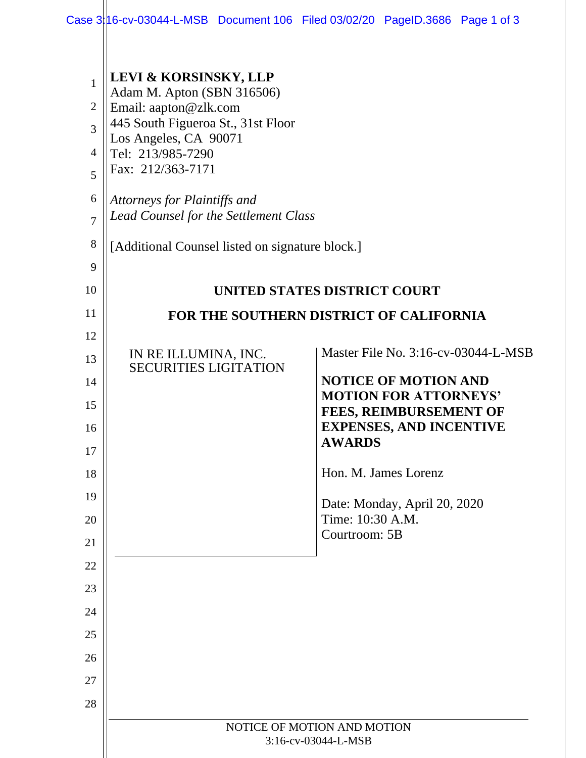|  | <b>LEVI &amp; KORSINSKY, LLP</b> |
|--|----------------------------------|
|  |                                  |

- 1 Adam M. Apton (SBN 316506)
- 2 Email: aapton@zlk.com
- 3 445 South Figueroa St., 31st Floor
- Los Angeles, CA 90071
- 4 Tel: 213/985-7290
- 5 Fax: 212/363-7171

9

10

11

15

16

17

18

19

20

21

22

23

24

25

26

27

28

- 6 *Attorneys for Plaintiffs and*
- 7 *Lead Counsel for the Settlement Class*

#### 8 [Additional Counsel listed on signature block.]

## **UNITED STATES DISTRICT COURT**

## **FOR THE SOUTHERN DISTRICT OF CALIFORNIA**

12 13 14 IN RE ILLUMINA, INC. SECURITIES LIGITATION

Master File No. 3:16-cv-03044-L-MSB

| <b>NOTICE OF MOTION AND</b>    |
|--------------------------------|
| <b>MOTION FOR ATTORNEYS'</b>   |
| <b>FEES, REIMBURSEMENT OF</b>  |
| <b>EXPENSES, AND INCENTIVE</b> |
| <b>AWARDS</b>                  |

Hon. M. James Lorenz

Date: Monday, April 20, 2020 Time: 10:30 A.M. Courtroom: 5B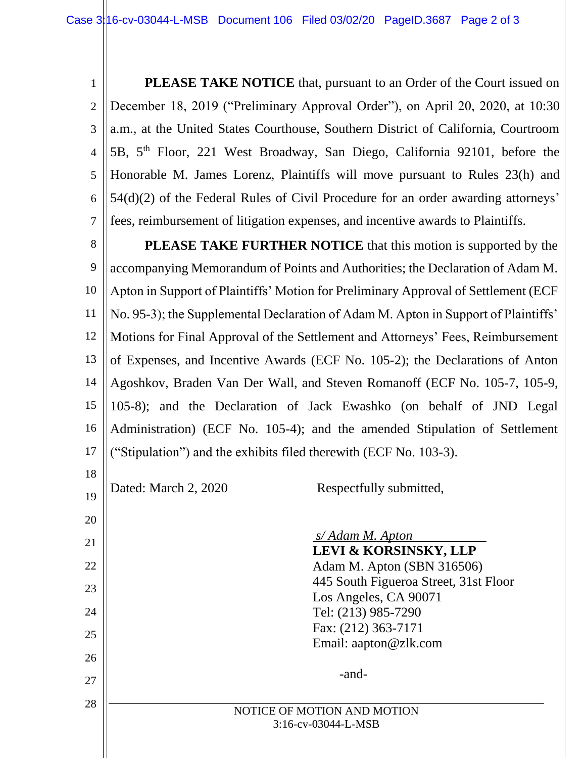1 2 3 4 5 6 7 **PLEASE TAKE NOTICE** that, pursuant to an Order of the Court issued on December 18, 2019 ("Preliminary Approval Order"), on April 20, 2020, at 10:30 a.m., at the United States Courthouse, Southern District of California, Courtroom 5B, 5th Floor, 221 West Broadway, San Diego, California 92101, before the Honorable M. James Lorenz, Plaintiffs will move pursuant to Rules 23(h) and 54(d)(2) of the Federal Rules of Civil Procedure for an order awarding attorneys' fees, reimbursement of litigation expenses, and incentive awards to Plaintiffs.

8 9 10 11 12 13 14 15 16 17 **PLEASE TAKE FURTHER NOTICE** that this motion is supported by the accompanying Memorandum of Points and Authorities; the Declaration of Adam M. Apton in Support of Plaintiffs' Motion for Preliminary Approval of Settlement (ECF No. 95-3); the Supplemental Declaration of Adam M. Apton in Support of Plaintiffs' Motions for Final Approval of the Settlement and Attorneys' Fees, Reimbursement of Expenses, and Incentive Awards (ECF No. 105-2); the Declarations of Anton Agoshkov, Braden Van Der Wall, and Steven Romanoff (ECF No. 105-7, 105-9, 105-8); and the Declaration of Jack Ewashko (on behalf of JND Legal Administration) (ECF No. 105-4); and the amended Stipulation of Settlement ("Stipulation") and the exhibits filed therewith (ECF No. 103-3).

18 19

20

21

22

23

24

25

26

27

28

Dated: March 2, 2020 Respectfully submitted,

*s/ Adam M. Apton* . **LEVI & KORSINSKY, LLP**  Adam M. Apton (SBN 316506) 445 South Figueroa Street, 31st Floor Los Angeles, CA 90071 Tel: (213) 985-7290 Fax: (212) 363-7171 Email: aapton@zlk.com

NOTICE OF MOTION AND MOTION 3:16-cv-03044-L-MSB

-and-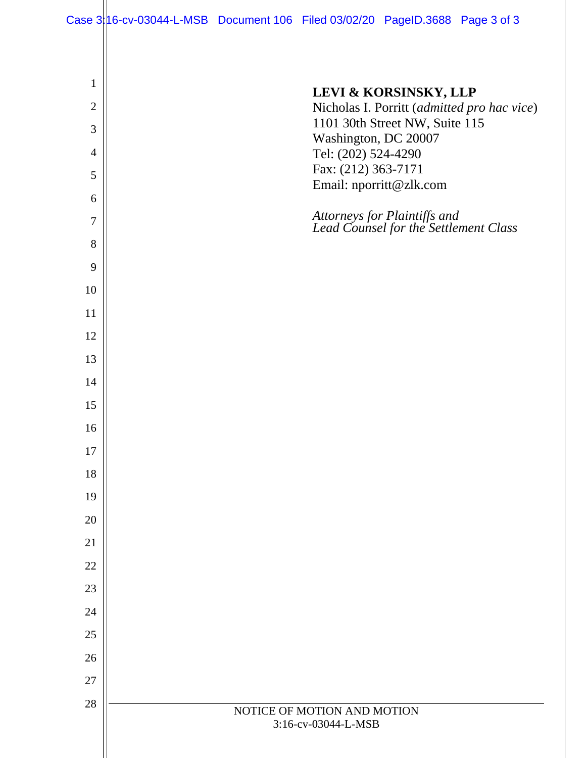Case 3:16-cv-03044-L-MSB Document 106 Filed 03/02/20 PageID.3688 Page 3 of 3

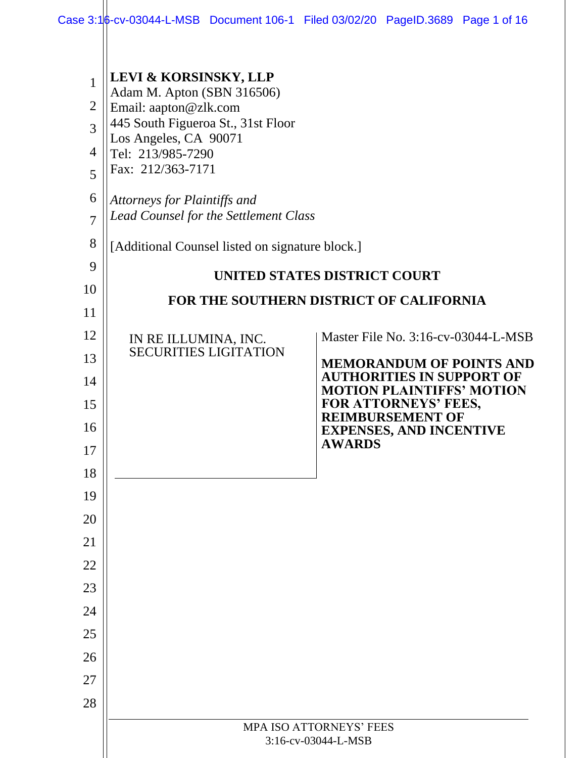| $\mathbf{1}$<br>$\overline{2}$<br>3<br>4<br>5<br>6<br>$\overline{7}$<br>8<br>9<br>10<br>11         | <b>LEVI &amp; KORSINSKY, LLP</b><br>Adam M. Apton (SBN 316506)<br>Email: aapton@zlk.com<br>445 South Figueroa St., 31st Floor<br>Los Angeles, CA 90071<br>Tel: 213/985-7290<br>Fax: 212/363-7171<br>Attorneys for Plaintiffs and<br><b>Lead Counsel for the Settlement Class</b><br>[Additional Counsel listed on signature block.] | UNITED STATES DISTRICT COURT<br>FOR THE SOUTHERN DISTRICT OF CALIFORNIA                                                                                                                                                                              |
|----------------------------------------------------------------------------------------------------|-------------------------------------------------------------------------------------------------------------------------------------------------------------------------------------------------------------------------------------------------------------------------------------------------------------------------------------|------------------------------------------------------------------------------------------------------------------------------------------------------------------------------------------------------------------------------------------------------|
| 12<br>13<br>14<br>15<br>16<br>17<br>18<br>19<br>20<br>21<br>22<br>23<br>24<br>25<br>26<br>27<br>28 | IN RE ILLUMINA, INC.<br><b>SECURITIES LIGITATION</b>                                                                                                                                                                                                                                                                                | Master File No. 3:16-cv-03044-L-MSB<br><b>MEMORANDUM OF POINTS AND</b><br><b>AUTHORITIES IN SUPPORT OF</b><br><b>MOTION PLAINTIFFS' MOTION</b><br>FOR ATTORNEYS' FEES,<br><b>REIMBURSEMENT OF</b><br><b>EXPENSES, AND INCENTIVE</b><br><b>AWARDS</b> |
|                                                                                                    | MPA ISO ATTORNEYS' FEES<br>3:16-cv-03044-L-MSB                                                                                                                                                                                                                                                                                      |                                                                                                                                                                                                                                                      |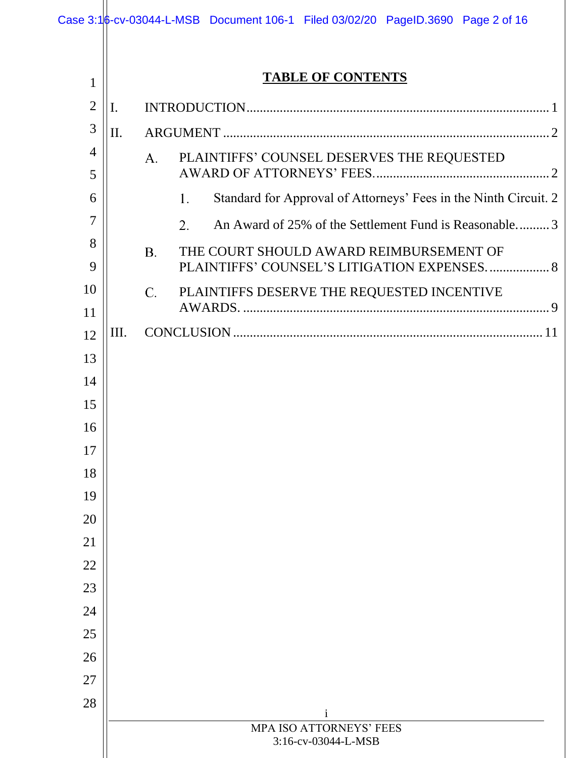|                     |     | Case 3:16-cv-03044-L-MSB Document 106-1 Filed 03/02/20 PageID.3690 Page 2 of 16 |
|---------------------|-----|---------------------------------------------------------------------------------|
|                     |     |                                                                                 |
| $\mathbf{1}$        |     | <b>TABLE OF CONTENTS</b>                                                        |
| $\overline{2}$      | I.  |                                                                                 |
| 3                   | II. |                                                                                 |
| $\overline{4}$<br>5 |     | PLAINTIFFS' COUNSEL DESERVES THE REQUESTED<br>A.                                |
| 6                   |     | Standard for Approval of Attorneys' Fees in the Ninth Circuit. 2<br>1.          |
| 7                   |     | An Award of 25% of the Settlement Fund is Reasonable3<br>2.                     |
| 8                   |     | THE COURT SHOULD AWARD REIMBURSEMENT OF<br><b>B.</b>                            |
| 9                   |     | PLAINTIFFS' COUNSEL'S LITIGATION EXPENSES 8                                     |
| 10                  |     | C.<br>PLAINTIFFS DESERVE THE REQUESTED INCENTIVE                                |
| 11                  |     |                                                                                 |
| 12                  | Ш.  |                                                                                 |
| 13                  |     |                                                                                 |
| 14                  |     |                                                                                 |
| 15                  |     |                                                                                 |
| 16                  |     |                                                                                 |
| 17                  |     |                                                                                 |
| 18                  |     |                                                                                 |
| 19<br>20            |     |                                                                                 |
| 21                  |     |                                                                                 |
| 22                  |     |                                                                                 |
| 23                  |     |                                                                                 |
| 24                  |     |                                                                                 |
| 25                  |     |                                                                                 |
| 26                  |     |                                                                                 |
| 27                  |     |                                                                                 |
| 28                  |     |                                                                                 |
|                     |     | i<br>MPA ISO ATTORNEYS' FEES                                                    |
|                     |     | 3:16-cv-03044-L-MSB                                                             |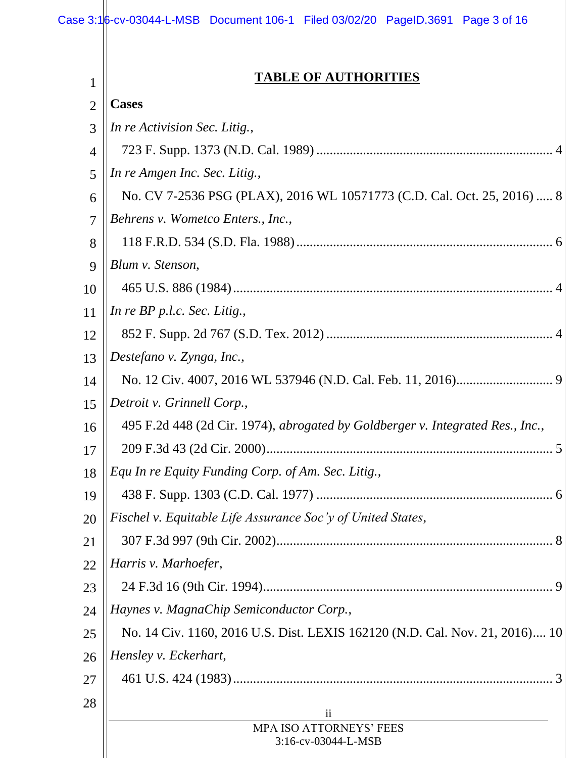| 1              | <b>TABLE OF AUTHORITIES</b>                                                    |  |
|----------------|--------------------------------------------------------------------------------|--|
| $\overline{2}$ | <b>Cases</b>                                                                   |  |
| 3              | In re Activision Sec. Litig.,                                                  |  |
| 4              |                                                                                |  |
| 5              | In re Amgen Inc. Sec. Litig.,                                                  |  |
| 6              | No. CV 7-2536 PSG (PLAX), 2016 WL 10571773 (C.D. Cal. Oct. 25, 2016)  8        |  |
| 7              | Behrens v. Wometco Enters., Inc.,                                              |  |
| 8              |                                                                                |  |
| 9              | Blum v. Stenson,                                                               |  |
| 10             |                                                                                |  |
| 11             | In re $BP$ p.l.c. Sec. Litig.,                                                 |  |
| 12             |                                                                                |  |
| 13             | Destefano v. Zynga, Inc.,                                                      |  |
| 14             |                                                                                |  |
| 15             | Detroit v. Grinnell Corp.,                                                     |  |
| 16             | 495 F.2d 448 (2d Cir. 1974), abrogated by Goldberger v. Integrated Res., Inc., |  |
| 17             |                                                                                |  |
| 18             | Equ In re Equity Funding Corp. of Am. Sec. Litig.,                             |  |
| 19             |                                                                                |  |
| 20             | Fischel v. Equitable Life Assurance Soc'y of United States,                    |  |
| 21             |                                                                                |  |
| 22             | Harris v. Marhoefer,                                                           |  |
| 23             |                                                                                |  |
| 24             | Haynes v. MagnaChip Semiconductor Corp.,                                       |  |
| 25             | No. 14 Civ. 1160, 2016 U.S. Dist. LEXIS 162120 (N.D. Cal. Nov. 21, 2016) 10    |  |
| 26             | Hensley v. Eckerhart,                                                          |  |
| 27             |                                                                                |  |
| 28             | $\mathbf{ii}$                                                                  |  |
|                | MPA ISO ATTORNEYS' FEES<br>3:16-cv-03044-L-MSB                                 |  |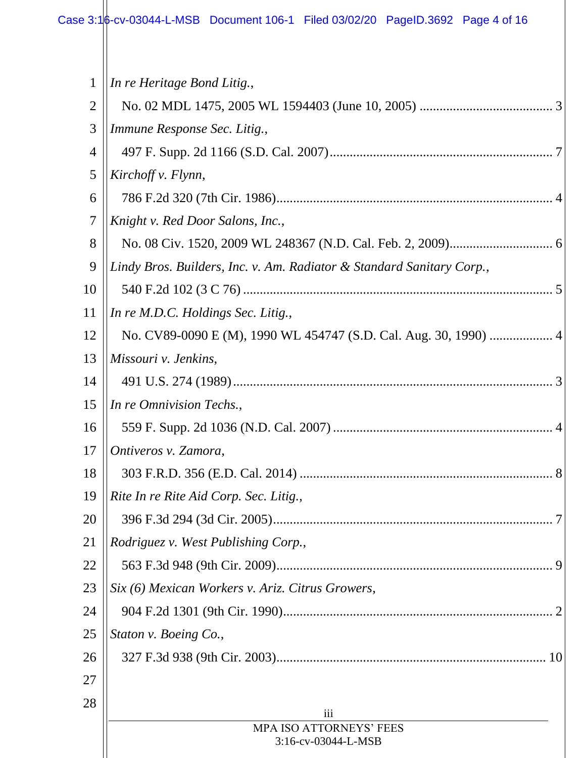$\mathbf{\mathbf{\mathsf{H}}}$ 

| $\mathbf{1}$   | In re Heritage Bond Litig.,                                           |  |
|----------------|-----------------------------------------------------------------------|--|
| $\overline{2}$ |                                                                       |  |
| 3              | Immune Response Sec. Litig.,                                          |  |
| 4              |                                                                       |  |
| 5              | Kirchoff v. Flynn,                                                    |  |
| 6              |                                                                       |  |
| 7              | Knight v. Red Door Salons, Inc.,                                      |  |
| 8              |                                                                       |  |
| 9              | Lindy Bros. Builders, Inc. v. Am. Radiator & Standard Sanitary Corp., |  |
| 10             |                                                                       |  |
| 11             | In re M.D.C. Holdings Sec. Litig.,                                    |  |
| 12             |                                                                       |  |
| 13             | Missouri v. Jenkins,                                                  |  |
| 14             |                                                                       |  |
| 15             | In re Omnivision Techs.,                                              |  |
| 16             |                                                                       |  |
| 17             | Ontiveros v. Zamora,                                                  |  |
| 18             |                                                                       |  |
| 19             | Rite In re Rite Aid Corp. Sec. Litig.,                                |  |
| 20             |                                                                       |  |
| 21             | Rodriguez v. West Publishing Corp.,                                   |  |
| 22             |                                                                       |  |
| 23             | Six (6) Mexican Workers v. Ariz. Citrus Growers,                      |  |
| 24             |                                                                       |  |
| 25             | Staton v. Boeing Co.,                                                 |  |
| 26             |                                                                       |  |
| 27             |                                                                       |  |
| 28             | iii                                                                   |  |
|                | MPA ISO ATTORNEYS' FEES                                               |  |
|                | 3:16-cv-03044-L-MSB                                                   |  |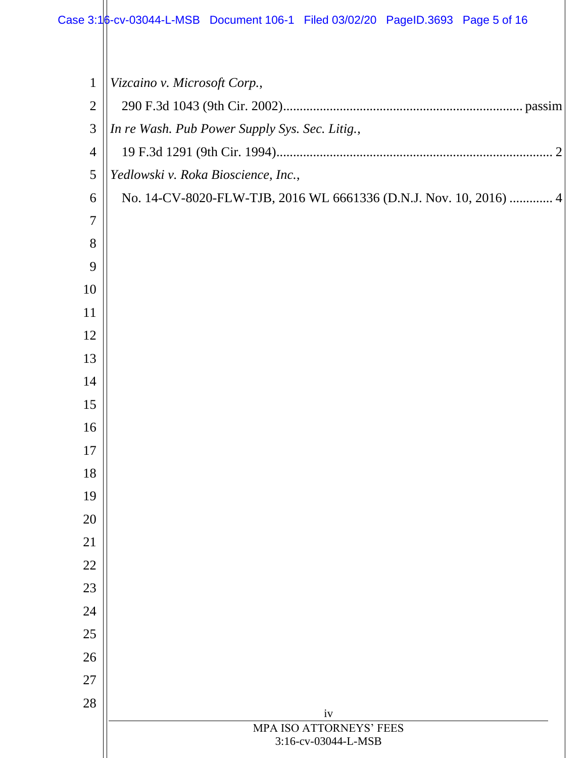| $\mathbf{1}$   | Vizcaino v. Microsoft Corp.,                                      |  |
|----------------|-------------------------------------------------------------------|--|
| $\overline{2}$ |                                                                   |  |
| 3              | In re Wash. Pub Power Supply Sys. Sec. Litig.,                    |  |
| $\overline{4}$ |                                                                   |  |
| 5              | Yedlowski v. Roka Bioscience, Inc.,                               |  |
| 6              | No. 14-CV-8020-FLW-TJB, 2016 WL 6661336 (D.N.J. Nov. 10, 2016)  4 |  |
| 7              |                                                                   |  |
| 8              |                                                                   |  |
| 9              |                                                                   |  |
| 10             |                                                                   |  |
| 11             |                                                                   |  |
| 12             |                                                                   |  |
| 13             |                                                                   |  |
| 14             |                                                                   |  |
| 15             |                                                                   |  |
| 16             |                                                                   |  |
| 17             |                                                                   |  |
| 18             |                                                                   |  |
| 19             |                                                                   |  |
| 20             |                                                                   |  |
| 21             |                                                                   |  |
| 22             |                                                                   |  |
| 23             |                                                                   |  |
| 24             |                                                                   |  |
| 25             |                                                                   |  |
| 26             |                                                                   |  |
| 27             |                                                                   |  |
| 28             | iv                                                                |  |
|                | MPA ISO ATTORNEYS' FEES                                           |  |
|                | 3:16-cv-03044-L-MSB                                               |  |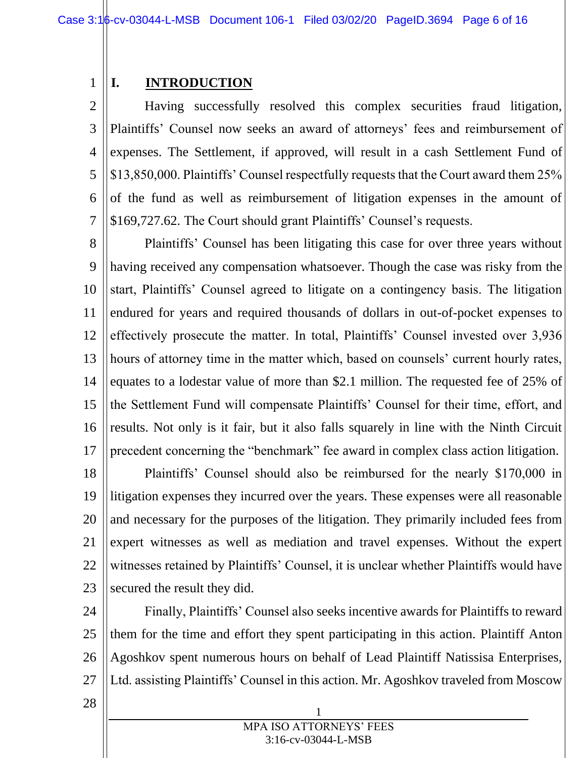## <span id="page-8-0"></span>**I. INTRODUCTION**

1

2 3 4 5 6 7 Having successfully resolved this complex securities fraud litigation, Plaintiffs' Counsel now seeks an award of attorneys' fees and reimbursement of expenses. The Settlement, if approved, will result in a cash Settlement Fund of \$13,850,000. Plaintiffs' Counsel respectfully requests that the Court award them 25% of the fund as well as reimbursement of litigation expenses in the amount of \$169,727.62. The Court should grant Plaintiffs' Counsel's requests.

8 9 10 11 12 13 14 15 16 17 18 19 Plaintiffs' Counsel has been litigating this case for over three years without having received any compensation whatsoever. Though the case was risky from the start, Plaintiffs' Counsel agreed to litigate on a contingency basis. The litigation endured for years and required thousands of dollars in out-of-pocket expenses to effectively prosecute the matter. In total, Plaintiffs' Counsel invested over 3,936 hours of attorney time in the matter which, based on counsels' current hourly rates, equates to a lodestar value of more than \$2.1 million. The requested fee of 25% of the Settlement Fund will compensate Plaintiffs' Counsel for their time, effort, and results. Not only is it fair, but it also falls squarely in line with the Ninth Circuit precedent concerning the "benchmark" fee award in complex class action litigation. Plaintiffs' Counsel should also be reimbursed for the nearly \$170,000 in litigation expenses they incurred over the years. These expenses were all reasonable

20 21 22 23 and necessary for the purposes of the litigation. They primarily included fees from expert witnesses as well as mediation and travel expenses. Without the expert witnesses retained by Plaintiffs' Counsel, it is unclear whether Plaintiffs would have secured the result they did.

24 25 26 27 Finally, Plaintiffs' Counsel also seeks incentive awards for Plaintiffs to reward them for the time and effort they spent participating in this action. Plaintiff Anton Agoshkov spent numerous hours on behalf of Lead Plaintiff Natissisa Enterprises, Ltd. assisting Plaintiffs' Counsel in this action. Mr. Agoshkov traveled from Moscow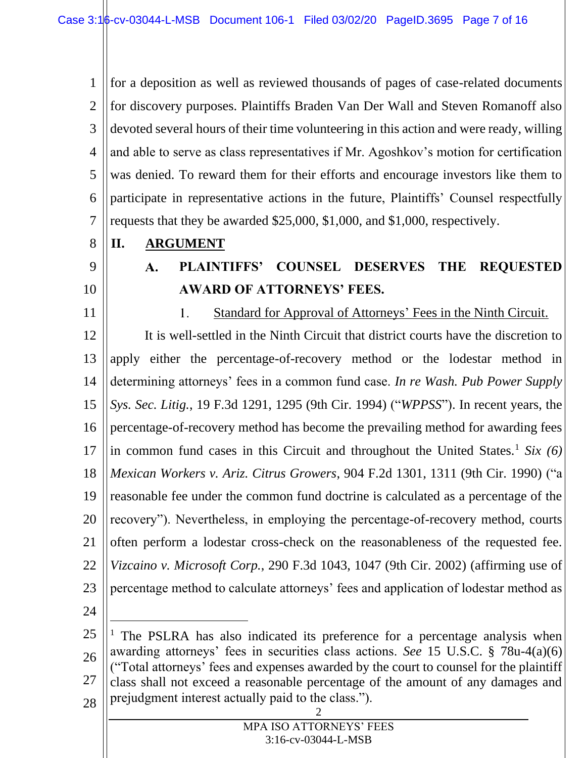1 2 3 4 5 6 7 for a deposition as well as reviewed thousands of pages of case-related documents for discovery purposes. Plaintiffs Braden Van Der Wall and Steven Romanoff also devoted several hours of their time volunteering in this action and were ready, willing and able to serve as class representatives if Mr. Agoshkov's motion for certification was denied. To reward them for their efforts and encourage investors like them to participate in representative actions in the future, Plaintiffs' Counsel respectfully requests that they be awarded \$25,000, \$1,000, and \$1,000, respectively.

- <span id="page-9-1"></span><span id="page-9-0"></span>**II. ARGUMENT**
- 9

8

- 10
- <span id="page-9-2"></span>

#### **PLAINTIFFS' COUNSEL DESERVES THE REQUESTED**   $\mathbf{A}$ . **AWARD OF ATTORNEYS' FEES.**

11  $1.$ Standard for Approval of Attorneys' Fees in the Ninth Circuit. It is well-settled in the Ninth Circuit that district courts have the discretion to 12 13 apply either the percentage-of-recovery method or the lodestar method in 14 determining attorneys' fees in a common fund case. *In re Wash. Pub Power Supply*  15 *Sys. Sec. Litig.*, 19 F.3d 1291, 1295 (9th Cir. 1994) ("*WPPSS*"). In recent years, the 16 percentage-of-recovery method has become the prevailing method for awarding fees in common fund cases in this Circuit and throughout the United States.<sup>1</sup> *Six* (6) 17 18 *Mexican Workers v. Ariz. Citrus Growers*, 904 F.2d 1301, 1311 (9th Cir. 1990) ("a 19 reasonable fee under the common fund doctrine is calculated as a percentage of the 20 recovery"). Nevertheless, in employing the percentage-of-recovery method, courts 21 often perform a lodestar cross-check on the reasonableness of the requested fee. 22 *Vizcaino v. Microsoft Corp.*, 290 F.3d 1043, 1047 (9th Cir. 2002) (affirming use of 23 percentage method to calculate attorneys' fees and application of lodestar method as

24

 $\overline{a}$ 

2 25 26 27 28 The PSLRA has also indicated its preference for a percentage analysis when awarding attorneys' fees in securities class actions. *See* 15 U.S.C. § 78u-4(a)(6) ("Total attorneys' fees and expenses awarded by the court to counsel for the plaintiff class shall not exceed a reasonable percentage of the amount of any damages and prejudgment interest actually paid to the class.").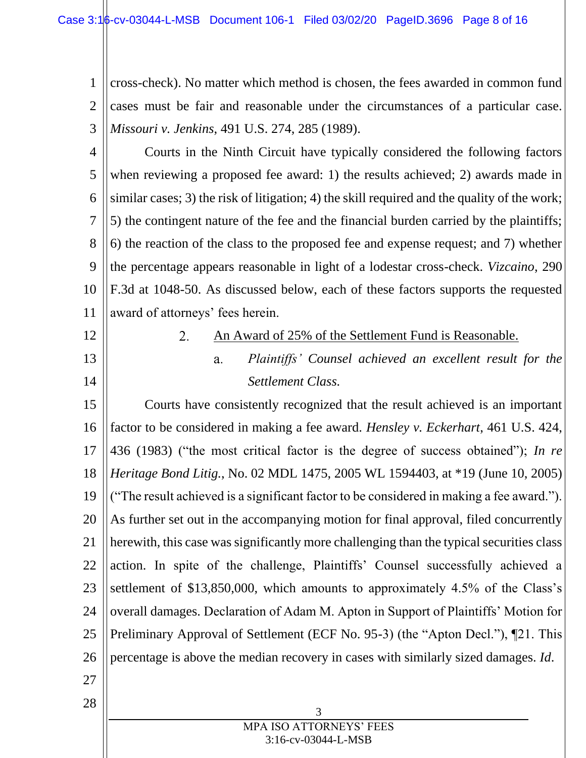1 2 3 cross-check). No matter which method is chosen, the fees awarded in common fund cases must be fair and reasonable under the circumstances of a particular case. *Missouri v. Jenkins*, 491 U.S. 274, 285 (1989).

4 5 6 7 8 9 10 11 Courts in the Ninth Circuit have typically considered the following factors when reviewing a proposed fee award: 1) the results achieved; 2) awards made in similar cases; 3) the risk of litigation; 4) the skill required and the quality of the work; 5) the contingent nature of the fee and the financial burden carried by the plaintiffs; 6) the reaction of the class to the proposed fee and expense request; and 7) whether the percentage appears reasonable in light of a lodestar cross-check. *Vizcaino*, 290 F.3d at 1048-50. As discussed below, each of these factors supports the requested award of attorneys' fees herein.

<span id="page-10-0"></span>12

2.

13

14

- An Award of 25% of the Settlement Fund is Reasonable.
	- *Plaintiffs' Counsel achieved an excellent result for the*   $a<sub>1</sub>$ *Settlement Class.*

15 16 17 18 19 20 21 22 23 24 25 26 Courts have consistently recognized that the result achieved is an important factor to be considered in making a fee award. *Hensley v. Eckerhart*, 461 U.S. 424, 436 (1983) ("the most critical factor is the degree of success obtained"); *In re Heritage Bond Litig.*, No. 02 MDL 1475, 2005 WL 1594403, at \*19 (June 10, 2005) ("The result achieved is a significant factor to be considered in making a fee award."). As further set out in the accompanying motion for final approval, filed concurrently herewith, this case was significantly more challenging than the typical securities class action. In spite of the challenge, Plaintiffs' Counsel successfully achieved a settlement of \$13,850,000, which amounts to approximately 4.5% of the Class's overall damages. Declaration of Adam M. Apton in Support of Plaintiffs' Motion for Preliminary Approval of Settlement (ECF No. 95-3) (the "Apton Decl."), ¶21. This percentage is above the median recovery in cases with similarly sized damages. *Id*.

27

28

3 MPA ISO ATTORNEYS' FEES 3:16-cv-03044-L-MSB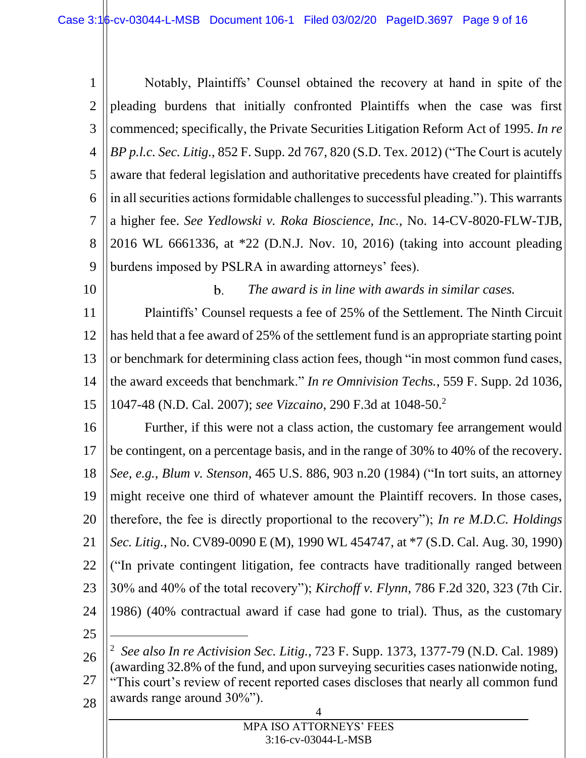1 2 3 4 5 6 7 8 9 Notably, Plaintiffs' Counsel obtained the recovery at hand in spite of the pleading burdens that initially confronted Plaintiffs when the case was first commenced; specifically, the Private Securities Litigation Reform Act of 1995. *In re BP p.l.c. Sec. Litig.*, 852 F. Supp. 2d 767, 820 (S.D. Tex. 2012) ("The Court is acutely aware that federal legislation and authoritative precedents have created for plaintiffs in all securities actions formidable challenges to successful pleading."). This warrants a higher fee. *See Yedlowski v. Roka Bioscience, Inc.*, No. 14-CV-8020-FLW-TJB, 2016 WL 6661336, at \*22 (D.N.J. Nov. 10, 2016) (taking into account pleading burdens imposed by PSLRA in awarding attorneys' fees).

11 12 13 14 15 Plaintiffs' Counsel requests a fee of 25% of the Settlement. The Ninth Circuit has held that a fee award of 25% of the settlement fund is an appropriate starting point or benchmark for determining class action fees, though "in most common fund cases, the award exceeds that benchmark." *In re Omnivision Techs.*, 559 F. Supp. 2d 1036, 1047-48 (N.D. Cal. 2007); *see Vizcaino*, 290 F.3d at 1048-50. 2

 $\mathbf{b}$ .

*The award is in line with awards in similar cases.*

16 17 18 19 20 21 22 23 24 25 Further, if this were not a class action, the customary fee arrangement would be contingent, on a percentage basis, and in the range of 30% to 40% of the recovery. *See*, *e.g.*, *Blum v. Stenson*, 465 U.S. 886, 903 n.20 (1984) ("In tort suits, an attorney might receive one third of whatever amount the Plaintiff recovers. In those cases, therefore, the fee is directly proportional to the recovery"); *In re M.D.C. Holdings Sec. Litig.*, No. CV89-0090 E (M), 1990 WL 454747, at \*7 (S.D. Cal. Aug. 30, 1990) ("In private contingent litigation, fee contracts have traditionally ranged between 30% and 40% of the total recovery"); *Kirchoff v. Flynn*, 786 F.2d 320, 323 (7th Cir. 1986) (40% contractual award if case had gone to trial). Thus, as the customary  $\overline{a}$ 

10

4 26 27 28 2 *See also In re Activision Sec. Litig.*, 723 F. Supp. 1373, 1377-79 (N.D. Cal. 1989) (awarding 32.8% of the fund, and upon surveying securities cases nationwide noting, "This court's review of recent reported cases discloses that nearly all common fund awards range around 30%").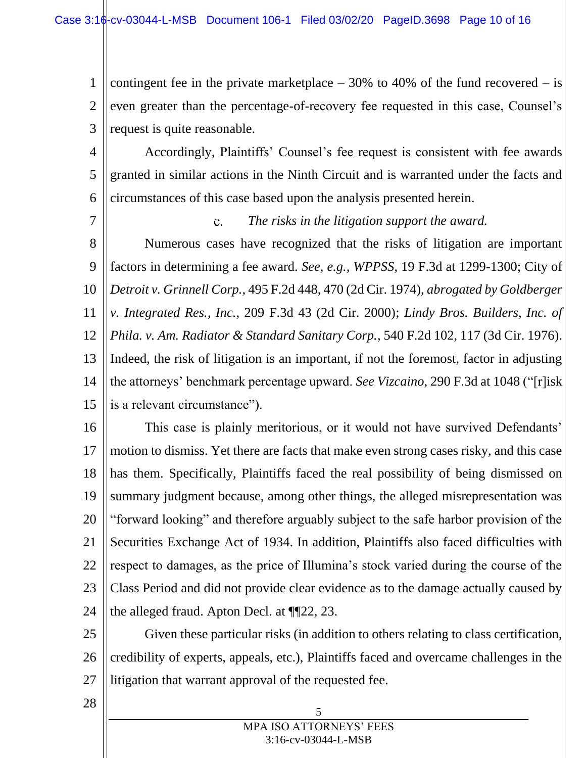1 2 3 contingent fee in the private marketplace  $-30\%$  to 40% of the fund recovered  $-$  is even greater than the percentage-of-recovery fee requested in this case, Counsel's request is quite reasonable.

4 5 6 Accordingly, Plaintiffs' Counsel's fee request is consistent with fee awards granted in similar actions in the Ninth Circuit and is warranted under the facts and circumstances of this case based upon the analysis presented herein.

7

 $\mathbf{c}$ . *The risks in the litigation support the award.*

8 9 10 11 12 13 14 15 Numerous cases have recognized that the risks of litigation are important factors in determining a fee award. *See, e.g., WPPSS*, 19 F.3d at 1299-1300; City of *Detroit v. Grinnell Corp.*, 495 F.2d 448, 470 (2d Cir. 1974), *abrogated by Goldberger v. Integrated Res., Inc.*, 209 F.3d 43 (2d Cir. 2000); *Lindy Bros. Builders, Inc. of Phila. v. Am. Radiator & Standard Sanitary Corp.*, 540 F.2d 102, 117 (3d Cir. 1976). Indeed, the risk of litigation is an important, if not the foremost, factor in adjusting the attorneys' benchmark percentage upward. *See Vizcaino*, 290 F.3d at 1048 ("[r]isk is a relevant circumstance").

16 17 18 19 20 21 22 23 24 This case is plainly meritorious, or it would not have survived Defendants' motion to dismiss. Yet there are facts that make even strong cases risky, and this case has them. Specifically, Plaintiffs faced the real possibility of being dismissed on summary judgment because, among other things, the alleged misrepresentation was "forward looking" and therefore arguably subject to the safe harbor provision of the Securities Exchange Act of 1934. In addition, Plaintiffs also faced difficulties with respect to damages, as the price of Illumina's stock varied during the course of the Class Period and did not provide clear evidence as to the damage actually caused by the alleged fraud. Apton Decl. at ¶¶22, 23.

25 26 27 Given these particular risks (in addition to others relating to class certification, credibility of experts, appeals, etc.), Plaintiffs faced and overcame challenges in the litigation that warrant approval of the requested fee.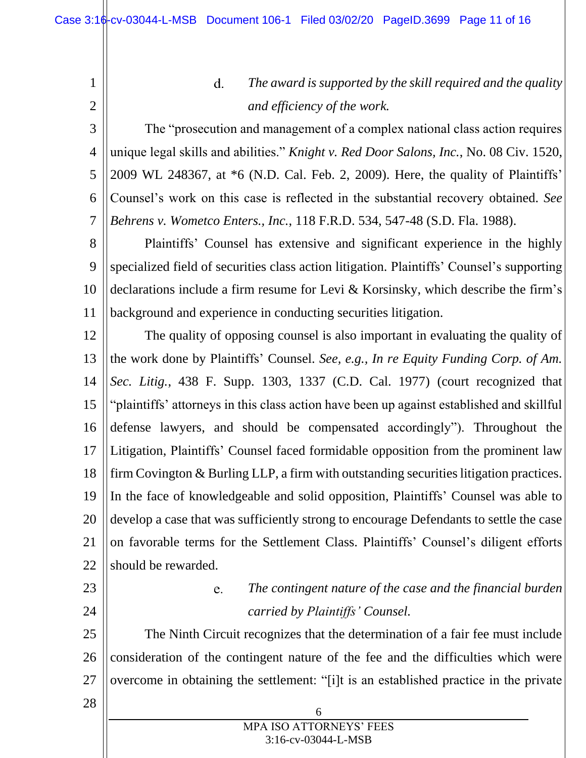$d_{\cdot}$ *The award is supported by the skill required and the quality and efficiency of the work.*

6 The "prosecution and management of a complex national class action requires unique legal skills and abilities." *Knight v. Red Door Salons, Inc.*, No. 08 Civ. 1520, 2009 WL 248367, at \*6 (N.D. Cal. Feb. 2, 2009). Here, the quality of Plaintiffs' Counsel's work on this case is reflected in the substantial recovery obtained. *See Behrens v. Wometco Enters., Inc.*, 118 F.R.D. 534, 547-48 (S.D. Fla. 1988).

8 9 10 11 Plaintiffs' Counsel has extensive and significant experience in the highly specialized field of securities class action litigation. Plaintiffs' Counsel's supporting declarations include a firm resume for Levi & Korsinsky, which describe the firm's background and experience in conducting securities litigation.

12 13 14 15 16 17 18 19 20 21 22 The quality of opposing counsel is also important in evaluating the quality of the work done by Plaintiffs' Counsel. *See, e.g., In re Equity Funding Corp. of Am. Sec. Litig.*, 438 F. Supp. 1303, 1337 (C.D. Cal. 1977) (court recognized that "plaintiffs' attorneys in this class action have been up against established and skillful defense lawyers, and should be compensated accordingly"). Throughout the Litigation, Plaintiffs' Counsel faced formidable opposition from the prominent law firm Covington & Burling LLP, a firm with outstanding securities litigation practices. In the face of knowledgeable and solid opposition, Plaintiffs' Counsel was able to develop a case that was sufficiently strong to encourage Defendants to settle the case on favorable terms for the Settlement Class. Plaintiffs' Counsel's diligent efforts should be rewarded.

## 23

24

28

1

2

3

4

5

7

#### *The contingent nature of the case and the financial burden*  e. *carried by Plaintiffs' Counsel.*

25 26 27 The Ninth Circuit recognizes that the determination of a fair fee must include consideration of the contingent nature of the fee and the difficulties which were overcome in obtaining the settlement: "[i]t is an established practice in the private

> 6 MPA ISO ATTORNEYS' FEES 3:16-cv-03044-L-MSB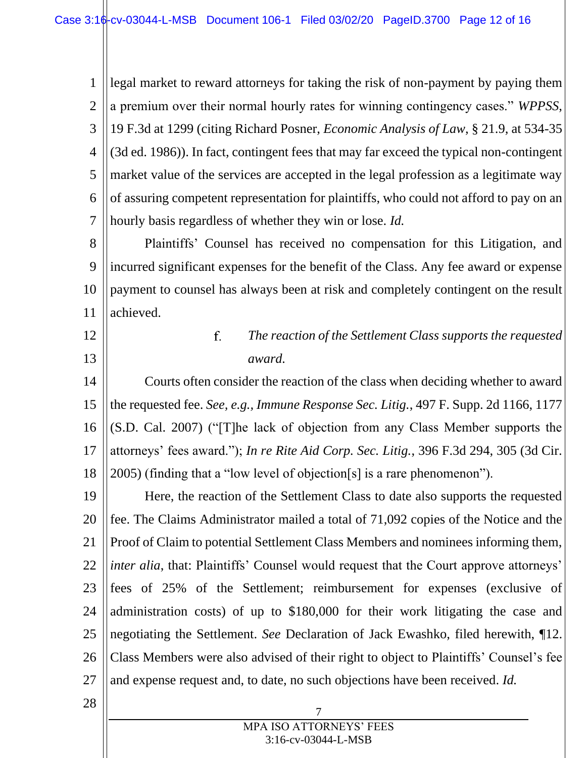1 2 3 4 5 6 7 legal market to reward attorneys for taking the risk of non-payment by paying them a premium over their normal hourly rates for winning contingency cases." *WPPSS*, 19 F.3d at 1299 (citing Richard Posner, *Economic Analysis of Law*, § 21.9, at 534-35 (3d ed. 1986)). In fact, contingent fees that may far exceed the typical non-contingent market value of the services are accepted in the legal profession as a legitimate way of assuring competent representation for plaintiffs, who could not afford to pay on an hourly basis regardless of whether they win or lose. *Id.*

8 9 10 11 Plaintiffs' Counsel has received no compensation for this Litigation, and incurred significant expenses for the benefit of the Class. Any fee award or expense payment to counsel has always been at risk and completely contingent on the result achieved.

# 12

13

#### f. *The reaction of the Settlement Class supports the requested award.*

14 15 16 17 18 Courts often consider the reaction of the class when deciding whether to award the requested fee. *See, e.g., Immune Response Sec. Litig.*, 497 F. Supp. 2d 1166, 1177 (S.D. Cal. 2007) ("[T]he lack of objection from any Class Member supports the attorneys' fees award."); *In re Rite Aid Corp. Sec. Litig.*, 396 F.3d 294, 305 (3d Cir. 2005) (finding that a "low level of objection[s] is a rare phenomenon").

19 20 21 22 23 24 25 26 27 Here, the reaction of the Settlement Class to date also supports the requested fee. The Claims Administrator mailed a total of 71,092 copies of the Notice and the Proof of Claim to potential Settlement Class Members and nominees informing them, *inter alia*, that: Plaintiffs' Counsel would request that the Court approve attorneys' fees of 25% of the Settlement; reimbursement for expenses (exclusive of administration costs) of up to \$180,000 for their work litigating the case and negotiating the Settlement. *See* Declaration of Jack Ewashko, filed herewith, ¶12. Class Members were also advised of their right to object to Plaintiffs' Counsel's fee and expense request and, to date, no such objections have been received. *Id.*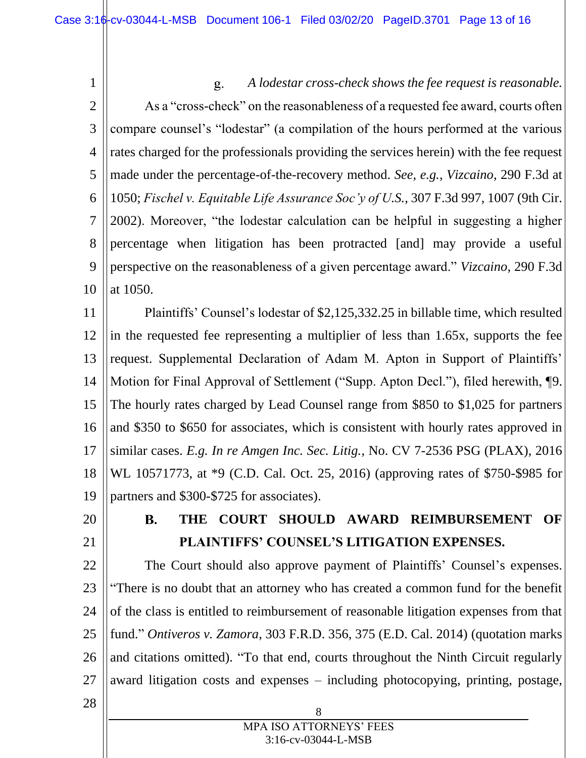1 *A lodestar cross-check shows the fee request is reasonable.*  $g_{\cdot}$ 2 As a "cross-check" on the reasonableness of a requested fee award, courts often compare counsel's "lodestar" (a compilation of the hours performed at the various 3 4 rates charged for the professionals providing the services herein) with the fee request 5 made under the percentage-of-the-recovery method. *See, e.g., Vizcaino*, 290 F.3d at 6 1050; *Fischel v. Equitable Life Assurance Soc'y of U.S.*, 307 F.3d 997, 1007 (9th Cir. 7 2002). Moreover, "the lodestar calculation can be helpful in suggesting a higher 8 percentage when litigation has been protracted [and] may provide a useful 9 perspective on the reasonableness of a given percentage award." *Vizcaino*, 290 F.3d 10 at 1050.

11 12 13 14 15 16 17 18 19 Plaintiffs' Counsel's lodestar of \$2,125,332.25 in billable time, which resulted in the requested fee representing a multiplier of less than 1.65x, supports the fee request. Supplemental Declaration of Adam M. Apton in Support of Plaintiffs' Motion for Final Approval of Settlement ("Supp. Apton Decl."), filed herewith, ¶9. The hourly rates charged by Lead Counsel range from \$850 to \$1,025 for partners and \$350 to \$650 for associates, which is consistent with hourly rates approved in similar cases. *E.g. In re Amgen Inc. Sec. Litig.*, No. CV 7-2536 PSG (PLAX), 2016 WL 10571773, at \*9 (C.D. Cal. Oct. 25, 2016) (approving rates of \$750-\$985 for partners and \$300-\$725 for associates).

<span id="page-15-0"></span>20

21

### **THE COURT SHOULD AWARD REIMBURSEMENT OF B. PLAINTIFFS' COUNSEL'S LITIGATION EXPENSES.**

22 23 24 25 26 27 The Court should also approve payment of Plaintiffs' Counsel's expenses. "There is no doubt that an attorney who has created a common fund for the benefit of the class is entitled to reimbursement of reasonable litigation expenses from that fund." *Ontiveros v. Zamora*, 303 F.R.D. 356, 375 (E.D. Cal. 2014) (quotation marks and citations omitted). "To that end, courts throughout the Ninth Circuit regularly award litigation costs and expenses – including photocopying, printing, postage,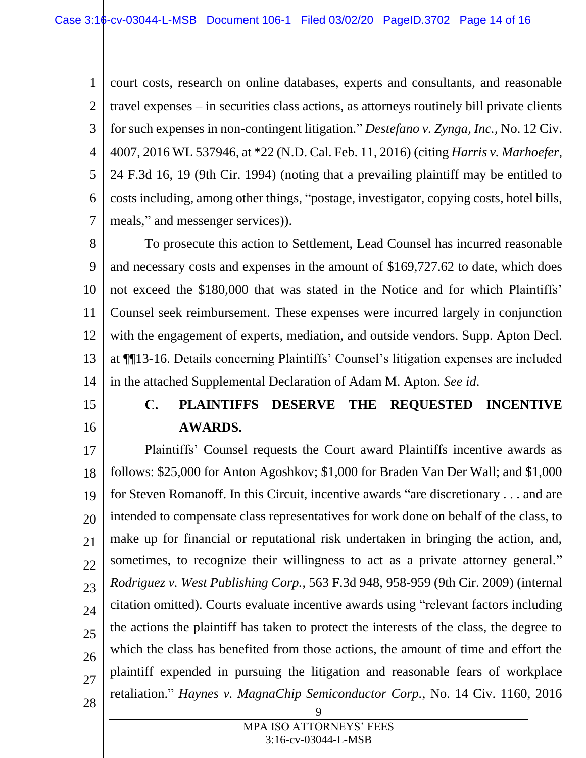1 2 3 4 5 6 7 court costs, research on online databases, experts and consultants, and reasonable travel expenses – in securities class actions, as attorneys routinely bill private clients for such expenses in non-contingent litigation." *Destefano v. Zynga, Inc.*, No. 12 Civ. 4007, 2016 WL 537946, at \*22 (N.D. Cal. Feb. 11, 2016) (citing *Harris v. Marhoefer*, 24 F.3d 16, 19 (9th Cir. 1994) (noting that a prevailing plaintiff may be entitled to costs including, among other things, "postage, investigator, copying costs, hotel bills, meals," and messenger services)).

8 9 10 11 12 13 14 To prosecute this action to Settlement, Lead Counsel has incurred reasonable and necessary costs and expenses in the amount of \$169,727.62 to date, which does not exceed the \$180,000 that was stated in the Notice and for which Plaintiffs' Counsel seek reimbursement. These expenses were incurred largely in conjunction with the engagement of experts, mediation, and outside vendors. Supp. Apton Decl. at ¶¶13-16. Details concerning Plaintiffs' Counsel's litigation expenses are included in the attached Supplemental Declaration of Adam M. Apton. *See id*.

<span id="page-16-0"></span> $\mathbf{C}$ . **PLAINTIFFS DESERVE THE REQUESTED INCENTIVE AWARDS.**

15

16

17 18 19 20 21 22 23 24 25 26 27 28 Plaintiffs' Counsel requests the Court award Plaintiffs incentive awards as follows: \$25,000 for Anton Agoshkov; \$1,000 for Braden Van Der Wall; and \$1,000 for Steven Romanoff. In this Circuit, incentive awards "are discretionary . . . and are intended to compensate class representatives for work done on behalf of the class, to make up for financial or reputational risk undertaken in bringing the action, and, sometimes, to recognize their willingness to act as a private attorney general." *Rodriguez v. West Publishing Corp.*, 563 F.3d 948, 958-959 (9th Cir. 2009) (internal citation omitted). Courts evaluate incentive awards using "relevant factors including the actions the plaintiff has taken to protect the interests of the class, the degree to which the class has benefited from those actions, the amount of time and effort the plaintiff expended in pursuing the litigation and reasonable fears of workplace retaliation." *Haynes v. MagnaChip Semiconductor Corp.*, No. 14 Civ. 1160, 2016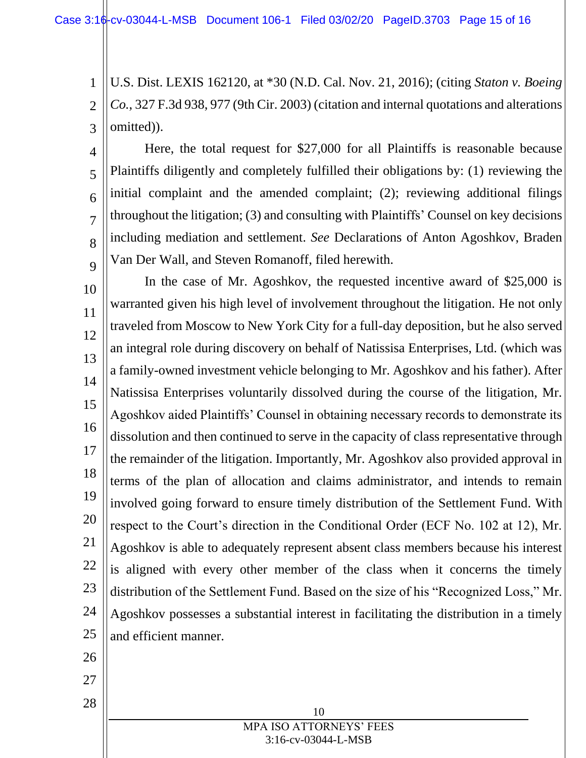2 3 U.S. Dist. LEXIS 162120, at \*30 (N.D. Cal. Nov. 21, 2016); (citing *Staton v. Boeing Co.*, 327 F.3d 938, 977 (9th Cir. 2003) (citation and internal quotations and alterations omitted)).

4 5 6 7 8 9 Here, the total request for \$27,000 for all Plaintiffs is reasonable because Plaintiffs diligently and completely fulfilled their obligations by: (1) reviewing the initial complaint and the amended complaint; (2); reviewing additional filings throughout the litigation; (3) and consulting with Plaintiffs' Counsel on key decisions including mediation and settlement. *See* Declarations of Anton Agoshkov, Braden Van Der Wall, and Steven Romanoff, filed herewith.

10 11 12 13 14 15 16 17 18 19 20 21 22 23 24 25 In the case of Mr. Agoshkov, the requested incentive award of \$25,000 is warranted given his high level of involvement throughout the litigation. He not only traveled from Moscow to New York City for a full-day deposition, but he also served an integral role during discovery on behalf of Natissisa Enterprises, Ltd. (which was a family-owned investment vehicle belonging to Mr. Agoshkov and his father). After Natissisa Enterprises voluntarily dissolved during the course of the litigation, Mr. Agoshkov aided Plaintiffs' Counsel in obtaining necessary records to demonstrate its dissolution and then continued to serve in the capacity of class representative through the remainder of the litigation. Importantly, Mr. Agoshkov also provided approval in terms of the plan of allocation and claims administrator, and intends to remain involved going forward to ensure timely distribution of the Settlement Fund. With respect to the Court's direction in the Conditional Order (ECF No. 102 at 12), Mr. Agoshkov is able to adequately represent absent class members because his interest is aligned with every other member of the class when it concerns the timely distribution of the Settlement Fund. Based on the size of his "Recognized Loss," Mr. Agoshkov possesses a substantial interest in facilitating the distribution in a timely and efficient manner.

26

1

27

28

MPA ISO ATTORNEYS' FEES 3:16-cv-03044-L-MSB